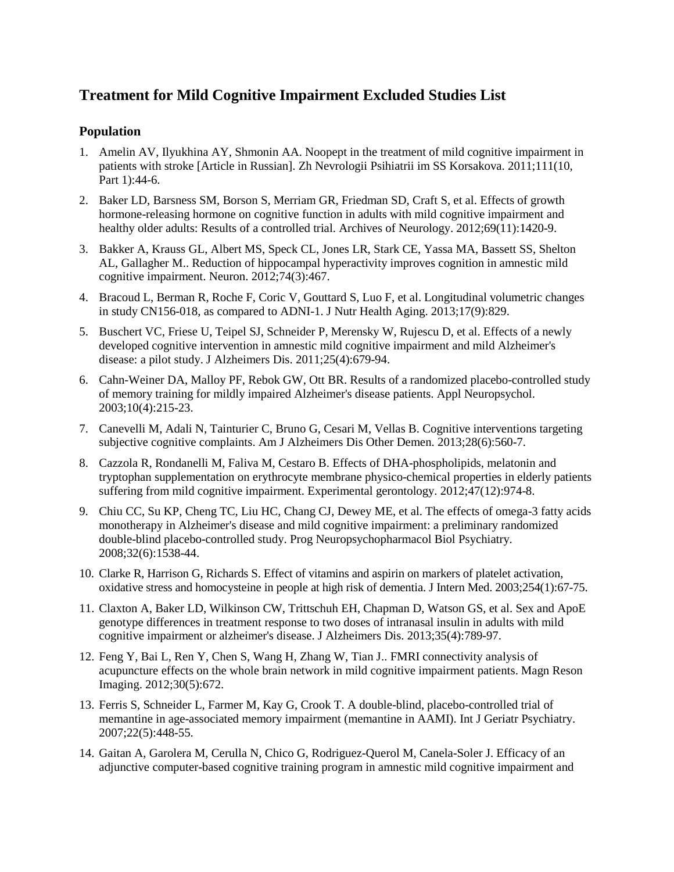# **Treatment for Mild Cognitive Impairment Excluded Studies List**

## **Population**

- 1. Amelin AV, Ilyukhina AY, Shmonin AA. Noopept in the treatment of mild cognitive impairment in patients with stroke [Article in Russian]. Zh Nevrologii Psihiatrii im SS Korsakova. 2011;111(10, Part 1):44-6.
- 2. Baker LD, Barsness SM, Borson S, Merriam GR, Friedman SD, Craft S, et al. Effects of growth hormone-releasing hormone on cognitive function in adults with mild cognitive impairment and healthy older adults: Results of a controlled trial. Archives of Neurology. 2012;69(11):1420-9.
- 3. [Bakker A,](http://www.ncbi.nlm.nih.gov/pubmed/?term=Bakker%20A%5BAuthor%5D&cauthor=true&cauthor_uid=22578498) [Krauss GL,](http://www.ncbi.nlm.nih.gov/pubmed/?term=Krauss%20GL%5BAuthor%5D&cauthor=true&cauthor_uid=22578498) [Albert MS,](http://www.ncbi.nlm.nih.gov/pubmed/?term=Albert%20MS%5BAuthor%5D&cauthor=true&cauthor_uid=22578498) [Speck CL,](http://www.ncbi.nlm.nih.gov/pubmed/?term=Speck%20CL%5BAuthor%5D&cauthor=true&cauthor_uid=22578498) [Jones LR,](http://www.ncbi.nlm.nih.gov/pubmed/?term=Jones%20LR%5BAuthor%5D&cauthor=true&cauthor_uid=22578498) [Stark CE,](http://www.ncbi.nlm.nih.gov/pubmed/?term=Stark%20CE%5BAuthor%5D&cauthor=true&cauthor_uid=22578498) [Yassa MA,](http://www.ncbi.nlm.nih.gov/pubmed/?term=Yassa%20MA%5BAuthor%5D&cauthor=true&cauthor_uid=22578498) [Bassett SS,](http://www.ncbi.nlm.nih.gov/pubmed/?term=Bassett%20SS%5BAuthor%5D&cauthor=true&cauthor_uid=22578498) [Shelton](http://www.ncbi.nlm.nih.gov/pubmed/?term=Shelton%20AL%5BAuthor%5D&cauthor=true&cauthor_uid=22578498)  [AL,](http://www.ncbi.nlm.nih.gov/pubmed/?term=Shelton%20AL%5BAuthor%5D&cauthor=true&cauthor_uid=22578498) [Gallagher M.](http://www.ncbi.nlm.nih.gov/pubmed/?term=Gallagher%20M%5BAuthor%5D&cauthor=true&cauthor_uid=22578498). Reduction of hippocampal hyperactivity improves cognition in amnestic mild cognitive impairment. Neuron. 2012;74(3):467.
- 4. Bracoud L, Berman R, Roche F, Coric V, Gouttard S, Luo F, et al. Longitudinal volumetric changes in study CN156-018, as compared to ADNI-1. J Nutr Health Aging. 2013;17(9):829.
- 5. Buschert VC, Friese U, Teipel SJ, Schneider P, Merensky W, Rujescu D, et al. Effects of a newly developed cognitive intervention in amnestic mild cognitive impairment and mild Alzheimer's disease: a pilot study. J Alzheimers Dis. 2011;25(4):679-94.
- 6. Cahn-Weiner DA, Malloy PF, Rebok GW, Ott BR. Results of a randomized placebo-controlled study of memory training for mildly impaired Alzheimer's disease patients. Appl Neuropsychol. 2003;10(4):215-23.
- 7. Canevelli M, Adali N, Tainturier C, Bruno G, Cesari M, Vellas B. Cognitive interventions targeting subjective cognitive complaints. Am J Alzheimers Dis Other Demen. 2013;28(6):560-7.
- 8. Cazzola R, Rondanelli M, Faliva M, Cestaro B. Effects of DHA-phospholipids, melatonin and tryptophan supplementation on erythrocyte membrane physico-chemical properties in elderly patients suffering from mild cognitive impairment. Experimental gerontology. 2012;47(12):974-8.
- 9. Chiu CC, Su KP, Cheng TC, Liu HC, Chang CJ, Dewey ME, et al. The effects of omega-3 fatty acids monotherapy in Alzheimer's disease and mild cognitive impairment: a preliminary randomized double-blind placebo-controlled study. Prog Neuropsychopharmacol Biol Psychiatry. 2008;32(6):1538-44.
- 10. Clarke R, Harrison G, Richards S. Effect of vitamins and aspirin on markers of platelet activation, oxidative stress and homocysteine in people at high risk of dementia. J Intern Med. 2003;254(1):67-75.
- 11. Claxton A, Baker LD, Wilkinson CW, Trittschuh EH, Chapman D, Watson GS, et al. Sex and ApoE genotype differences in treatment response to two doses of intranasal insulin in adults with mild cognitive impairment or alzheimer's disease[. J Alzheimers Dis.](http://www.ncbi.nlm.nih.gov/pubmed/23507773) 2013;35(4):789-97.
- 12. [Feng Y,](http://www.ncbi.nlm.nih.gov/pubmed/?term=Feng%20Y%5BAuthor%5D&cauthor=true&cauthor_uid=22459434) [Bai L,](http://www.ncbi.nlm.nih.gov/pubmed/?term=Bai%20L%5BAuthor%5D&cauthor=true&cauthor_uid=22459434) [Ren Y,](http://www.ncbi.nlm.nih.gov/pubmed/?term=Ren%20Y%5BAuthor%5D&cauthor=true&cauthor_uid=22459434) [Chen S,](http://www.ncbi.nlm.nih.gov/pubmed/?term=Chen%20S%5BAuthor%5D&cauthor=true&cauthor_uid=22459434) [Wang H,](http://www.ncbi.nlm.nih.gov/pubmed/?term=Wang%20H%5BAuthor%5D&cauthor=true&cauthor_uid=22459434) [Zhang W,](http://www.ncbi.nlm.nih.gov/pubmed/?term=Zhang%20W%5BAuthor%5D&cauthor=true&cauthor_uid=22459434) [Tian J.](http://www.ncbi.nlm.nih.gov/pubmed/?term=Tian%20J%5BAuthor%5D&cauthor=true&cauthor_uid=22459434). FMRI connectivity analysis of acupuncture effects on the whole brain network in mild cognitive impairment patients. [Magn Reson](http://www.ncbi.nlm.nih.gov/pubmed/22459434)  [Imaging.](http://www.ncbi.nlm.nih.gov/pubmed/22459434) 2012;30(5):672.
- 13. Ferris S, Schneider L, Farmer M, Kay G, Crook T. A double-blind, placebo-controlled trial of memantine in age-associated memory impairment (memantine in AAMI). Int J Geriatr Psychiatry. 2007;22(5):448-55.
- 14. Gaitan A, Garolera M, Cerulla N, Chico G, Rodriguez-Querol M, Canela-Soler J. Efficacy of an adjunctive computer-based cognitive training program in amnestic mild cognitive impairment and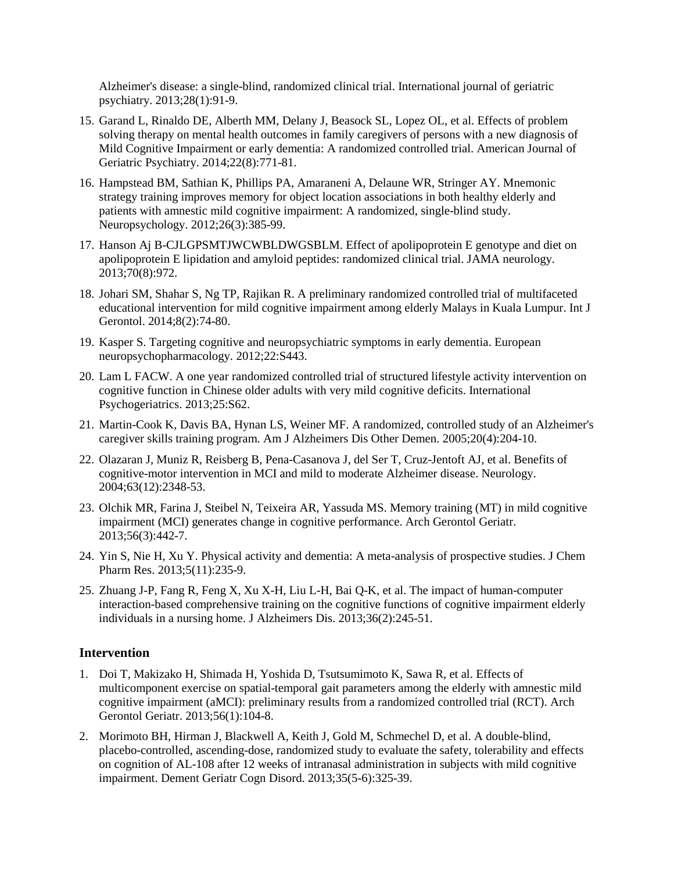Alzheimer's disease: a single-blind, randomized clinical trial. International journal of geriatric psychiatry. 2013;28(1):91-9.

- 15. Garand L, Rinaldo DE, Alberth MM, Delany J, Beasock SL, Lopez OL, et al. Effects of problem solving therapy on mental health outcomes in family caregivers of persons with a new diagnosis of Mild Cognitive Impairment or early dementia: A randomized controlled trial. American Journal of Geriatric Psychiatry. 2014;22(8):771-81.
- 16. Hampstead BM, Sathian K, Phillips PA, Amaraneni A, Delaune WR, Stringer AY. Mnemonic strategy training improves memory for object location associations in both healthy elderly and patients with amnestic mild cognitive impairment: A randomized, single-blind study. Neuropsychology. 2012;26(3):385-99.
- 17. Hanson Aj B-CJLGPSMTJWCWBLDWGSBLM. Effect of apolipoprotein E genotype and diet on apolipoprotein E lipidation and amyloid peptides: randomized clinical trial. JAMA neurology. 2013;70(8):972.
- 18. Johari SM, Shahar S, Ng TP, Rajikan R. A preliminary randomized controlled trial of multifaceted educational intervention for mild cognitive impairment among elderly Malays in Kuala Lumpur. Int J Gerontol. 2014;8(2):74-80.
- 19. Kasper S. Targeting cognitive and neuropsychiatric symptoms in early dementia. European neuropsychopharmacology. 2012;22:S443.
- 20. Lam L FACW. A one year randomized controlled trial of structured lifestyle activity intervention on cognitive function in Chinese older adults with very mild cognitive deficits. International Psychogeriatrics. 2013;25:S62.
- 21. Martin-Cook K, Davis BA, Hynan LS, Weiner MF. A randomized, controlled study of an Alzheimer's caregiver skills training program. Am J Alzheimers Dis Other Demen. 2005;20(4):204-10.
- 22. Olazaran J, Muniz R, Reisberg B, Pena-Casanova J, del Ser T, Cruz-Jentoft AJ, et al. Benefits of cognitive-motor intervention in MCI and mild to moderate Alzheimer disease. Neurology. 2004;63(12):2348-53.
- 23. Olchik MR, Farina J, Steibel N, Teixeira AR, Yassuda MS. Memory training (MT) in mild cognitive impairment (MCI) generates change in cognitive performance. [Arch Gerontol Geriatr.](http://www.ncbi.nlm.nih.gov/pubmed/23260332) 2013;56(3):442-7.
- 24. Yin S, Nie H, Xu Y. Physical activity and dementia: A meta-analysis of prospective studies. J Chem Pharm Res. 2013;5(11):235-9.
- 25. Zhuang J-P, Fang R, Feng X, Xu X-H, Liu L-H, Bai Q-K, et al. The impact of human-computer interaction-based comprehensive training on the cognitive functions of cognitive impairment elderly individuals in a nursing home. J Alzheimers Dis. 2013;36(2):245-51.

## **Intervention**

- 1. Doi T, Makizako H, Shimada H, Yoshida D, Tsutsumimoto K, Sawa R, et al. Effects of multicomponent exercise on spatial-temporal gait parameters among the elderly with amnestic mild cognitive impairment (aMCI): preliminary results from a randomized controlled trial (RCT). Arch Gerontol Geriatr. 2013;56(1):104-8.
- 2. Morimoto BH, Hirman J, Blackwell A, Keith J, Gold M, Schmechel D, et al. A double-blind, placebo-controlled, ascending-dose, randomized study to evaluate the safety, tolerability and effects on cognition of AL-108 after 12 weeks of intranasal administration in subjects with mild cognitive impairment. Dement Geriatr Cogn Disord. 2013;35(5-6):325-39.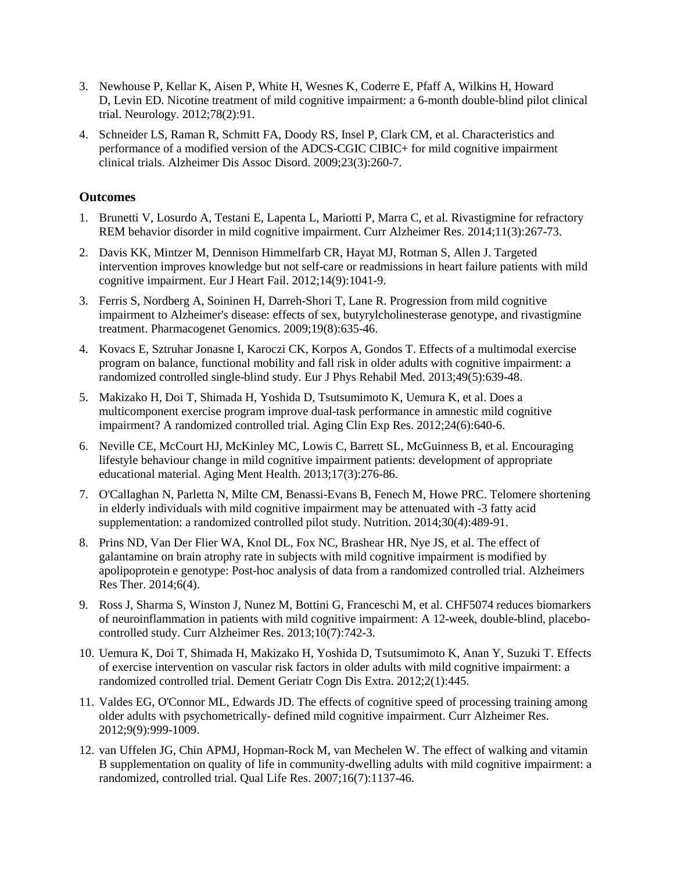- 3. [Newhouse P,](http://www.ncbi.nlm.nih.gov/pubmed/?term=Newhouse%20P%5BAuthor%5D&cauthor=true&cauthor_uid=22232050) [Kellar K,](http://www.ncbi.nlm.nih.gov/pubmed/?term=Kellar%20K%5BAuthor%5D&cauthor=true&cauthor_uid=22232050) [Aisen P,](http://www.ncbi.nlm.nih.gov/pubmed/?term=Aisen%20P%5BAuthor%5D&cauthor=true&cauthor_uid=22232050) [White H,](http://www.ncbi.nlm.nih.gov/pubmed/?term=White%20H%5BAuthor%5D&cauthor=true&cauthor_uid=22232050) [Wesnes K,](http://www.ncbi.nlm.nih.gov/pubmed/?term=Wesnes%20K%5BAuthor%5D&cauthor=true&cauthor_uid=22232050) [Coderre E,](http://www.ncbi.nlm.nih.gov/pubmed/?term=Coderre%20E%5BAuthor%5D&cauthor=true&cauthor_uid=22232050) [Pfaff A,](http://www.ncbi.nlm.nih.gov/pubmed/?term=Pfaff%20A%5BAuthor%5D&cauthor=true&cauthor_uid=22232050) [Wilkins H,](http://www.ncbi.nlm.nih.gov/pubmed/?term=Wilkins%20H%5BAuthor%5D&cauthor=true&cauthor_uid=22232050) [Howard](http://www.ncbi.nlm.nih.gov/pubmed/?term=Howard%20D%5BAuthor%5D&cauthor=true&cauthor_uid=22232050)  [D,](http://www.ncbi.nlm.nih.gov/pubmed/?term=Howard%20D%5BAuthor%5D&cauthor=true&cauthor_uid=22232050) [Levin ED.](http://www.ncbi.nlm.nih.gov/pubmed/?term=Levin%20ED%5BAuthor%5D&cauthor=true&cauthor_uid=22232050) Nicotine treatment of mild cognitive impairment: a 6-month double-blind pilot clinical trial. Neurology. 2012;78(2):91.
- 4. Schneider LS, Raman R, Schmitt FA, Doody RS, Insel P, Clark CM, et al. Characteristics and performance of a modified version of the ADCS-CGIC CIBIC+ for mild cognitive impairment clinical trials. Alzheimer Dis Assoc Disord. 2009;23(3):260-7.

## **Outcomes**

- 1. Brunetti V, Losurdo A, Testani E, Lapenta L, Mariotti P, Marra C, et al. Rivastigmine for refractory REM behavior disorder in mild cognitive impairment[. Curr Alzheimer Res.](http://www.ncbi.nlm.nih.gov/pubmed/24597506) 2014;11(3):267-73.
- 2. Davis KK, Mintzer M, Dennison Himmelfarb CR, Hayat MJ, Rotman S, Allen J. Targeted intervention improves knowledge but not self-care or readmissions in heart failure patients with mild cognitive impairment. Eur J Heart Fail. 2012;14(9):1041-9.
- 3. Ferris S, Nordberg A, Soininen H, Darreh-Shori T, Lane R. Progression from mild cognitive impairment to Alzheimer's disease: effects of sex, butyrylcholinesterase genotype, and rivastigmine treatment. Pharmacogenet Genomics. 2009;19(8):635-46.
- 4. Kovacs E, Sztruhar Jonasne I, Karoczi CK, Korpos A, Gondos T. Effects of a multimodal exercise program on balance, functional mobility and fall risk in older adults with cognitive impairment: a randomized controlled single-blind study. Eur J Phys Rehabil Med. 2013;49(5):639-48.
- 5. Makizako H, Doi T, Shimada H, Yoshida D, Tsutsumimoto K, Uemura K, et al. Does a multicomponent exercise program improve dual-task performance in amnestic mild cognitive impairment? A randomized controlled trial. Aging Clin Exp Res. 2012;24(6):640-6.
- 6. Neville CE, McCourt HJ, McKinley MC, Lowis C, Barrett SL, McGuinness B, et al. Encouraging lifestyle behaviour change in mild cognitive impairment patients: development of appropriate educational material. Aging Ment Health. 2013;17(3):276-86.
- 7. O'Callaghan N, Parletta N, Milte CM, Benassi-Evans B, Fenech M, Howe PRC. Telomere shortening in elderly individuals with mild cognitive impairment may be attenuated with -3 fatty acid supplementation: a randomized controlled pilot study. Nutrition. 2014;30(4):489-91.
- 8. Prins ND, Van Der Flier WA, Knol DL, Fox NC, Brashear HR, Nye JS, et al. The effect of galantamine on brain atrophy rate in subjects with mild cognitive impairment is modified by apolipoprotein e genotype: Post-hoc analysis of data from a randomized controlled trial. Alzheimers Res Ther. 2014;6(4).
- 9. Ross J, Sharma S, Winston J, Nunez M, Bottini G, Franceschi M, et al. CHF5074 reduces biomarkers of neuroinflammation in patients with mild cognitive impairment: A 12-week, double-blind, placebocontrolled study. Curr Alzheimer Res. 2013;10(7):742-3.
- 10. [Uemura K,](http://www.ncbi.nlm.nih.gov/pubmed/?term=Uemura%20K%5BAuthor%5D&cauthor=true&cauthor_uid=23189083) [Doi T,](http://www.ncbi.nlm.nih.gov/pubmed/?term=Doi%20T%5BAuthor%5D&cauthor=true&cauthor_uid=23189083) [Shimada H,](http://www.ncbi.nlm.nih.gov/pubmed/?term=Shimada%20H%5BAuthor%5D&cauthor=true&cauthor_uid=23189083) [Makizako H,](http://www.ncbi.nlm.nih.gov/pubmed/?term=Makizako%20H%5BAuthor%5D&cauthor=true&cauthor_uid=23189083) [Yoshida D,](http://www.ncbi.nlm.nih.gov/pubmed/?term=Yoshida%20D%5BAuthor%5D&cauthor=true&cauthor_uid=23189083) [Tsutsumimoto K,](http://www.ncbi.nlm.nih.gov/pubmed/?term=Tsutsumimoto%20K%5BAuthor%5D&cauthor=true&cauthor_uid=23189083) [Anan Y,](http://www.ncbi.nlm.nih.gov/pubmed/?term=Anan%20Y%5BAuthor%5D&cauthor=true&cauthor_uid=23189083) [Suzuki T.](http://www.ncbi.nlm.nih.gov/pubmed/?term=Suzuki%20T%5BAuthor%5D&cauthor=true&cauthor_uid=23189083) Effects of exercise intervention on vascular risk factors in older adults with mild cognitive impairment: a randomized controlled trial. Dement Geriatr Cogn Dis Extra. 2012;2(1):445.
- 11. Valdes EG, O'Connor ML, Edwards JD. The effects of cognitive speed of processing training among older adults with psychometrically- defined mild cognitive impairment. Curr Alzheimer Res. 2012;9(9):999-1009.
- 12. van Uffelen JG, Chin APMJ, Hopman-Rock M, van Mechelen W. The effect of walking and vitamin B supplementation on quality of life in community-dwelling adults with mild cognitive impairment: a randomized, controlled trial. Qual Life Res. 2007;16(7):1137-46.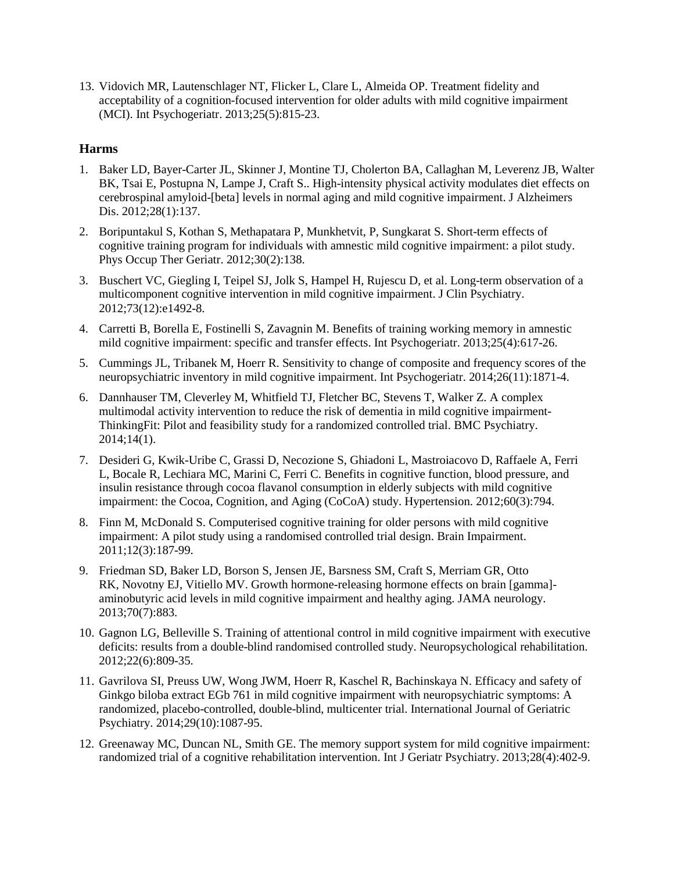13. Vidovich MR, Lautenschlager NT, Flicker L, Clare L, Almeida OP. Treatment fidelity and acceptability of a cognition-focused intervention for older adults with mild cognitive impairment (MCI). [Int Psychogeriatr.](http://www.ncbi.nlm.nih.gov/pubmed/?term=Treatment+fidelity+and+acceptability+of+a+cognition-focused+intervention+for+older+adults+with+mild+cognitive+impairment+(MCI)) 2013;25(5):815-23.

# **Harms**

- 1. [Baker LD,](http://www.ncbi.nlm.nih.gov/pubmed/?term=Baker%20LD%5BAuthor%5D&cauthor=true&cauthor_uid=21971406) [Bayer-Carter JL,](http://www.ncbi.nlm.nih.gov/pubmed/?term=Bayer-Carter%20JL%5BAuthor%5D&cauthor=true&cauthor_uid=21971406) [Skinner J,](http://www.ncbi.nlm.nih.gov/pubmed/?term=Skinner%20J%5BAuthor%5D&cauthor=true&cauthor_uid=21971406) [Montine TJ,](http://www.ncbi.nlm.nih.gov/pubmed/?term=Montine%20TJ%5BAuthor%5D&cauthor=true&cauthor_uid=21971406) [Cholerton BA,](http://www.ncbi.nlm.nih.gov/pubmed/?term=Cholerton%20BA%5BAuthor%5D&cauthor=true&cauthor_uid=21971406) [Callaghan M,](http://www.ncbi.nlm.nih.gov/pubmed/?term=Callaghan%20M%5BAuthor%5D&cauthor=true&cauthor_uid=21971406) [Leverenz JB,](http://www.ncbi.nlm.nih.gov/pubmed/?term=Leverenz%20JB%5BAuthor%5D&cauthor=true&cauthor_uid=21971406) [Walter](http://www.ncbi.nlm.nih.gov/pubmed/?term=Walter%20BK%5BAuthor%5D&cauthor=true&cauthor_uid=21971406)  [BK,](http://www.ncbi.nlm.nih.gov/pubmed/?term=Walter%20BK%5BAuthor%5D&cauthor=true&cauthor_uid=21971406) [Tsai E,](http://www.ncbi.nlm.nih.gov/pubmed/?term=Tsai%20E%5BAuthor%5D&cauthor=true&cauthor_uid=21971406) [Postupna N,](http://www.ncbi.nlm.nih.gov/pubmed/?term=Postupna%20N%5BAuthor%5D&cauthor=true&cauthor_uid=21971406) [Lampe J,](http://www.ncbi.nlm.nih.gov/pubmed/?term=Lampe%20J%5BAuthor%5D&cauthor=true&cauthor_uid=21971406) [Craft S.](http://www.ncbi.nlm.nih.gov/pubmed/?term=Craft%20S%5BAuthor%5D&cauthor=true&cauthor_uid=21971406). High-intensity physical activity modulates diet effects on cerebrospinal amyloid-[beta] levels in normal aging and mild cognitive impairment. J Alzheimers Dis. 2012;28(1):137.
- 2. Boripuntakul S, Kothan S, Methapatara P, Munkhetvit, P, Sungkarat S. Short-term effects of cognitive training program for individuals with amnestic mild cognitive impairment: a pilot study. Phys Occup Ther Geriatr. 2012;30(2):138.
- 3. Buschert VC, Giegling I, Teipel SJ, Jolk S, Hampel H, Rujescu D, et al. Long-term observation of a multicomponent cognitive intervention in mild cognitive impairment. [J Clin Psychiatry.](http://www.ncbi.nlm.nih.gov/pubmed/23290333) 2012;73(12):e1492-8.
- 4. Carretti B, Borella E, Fostinelli S, Zavagnin M. Benefits of training working memory in amnestic mild cognitive impairment: specific and transfer effects. Int Psychogeriatr. 2013;25(4):617-26.
- 5. Cummings JL, Tribanek M, Hoerr R. Sensitivity to change of composite and frequency scores of the neuropsychiatric inventory in mild cognitive impairment. Int Psychogeriatr. 2014;26(11):1871-4.
- 6. Dannhauser TM, Cleverley M, Whitfield TJ, Fletcher BC, Stevens T, Walker Z. A complex multimodal activity intervention to reduce the risk of dementia in mild cognitive impairment-ThinkingFit: Pilot and feasibility study for a randomized controlled trial. BMC Psychiatry. 2014;14(1).
- 7. [Desideri G,](http://www.ncbi.nlm.nih.gov/pubmed/?term=Desideri%20G%5BAuthor%5D&cauthor=true&cauthor_uid=22892813) [Kwik-Uribe C,](http://www.ncbi.nlm.nih.gov/pubmed/?term=Kwik-Uribe%20C%5BAuthor%5D&cauthor=true&cauthor_uid=22892813) [Grassi D,](http://www.ncbi.nlm.nih.gov/pubmed/?term=Grassi%20D%5BAuthor%5D&cauthor=true&cauthor_uid=22892813) [Necozione S,](http://www.ncbi.nlm.nih.gov/pubmed/?term=Necozione%20S%5BAuthor%5D&cauthor=true&cauthor_uid=22892813) [Ghiadoni L,](http://www.ncbi.nlm.nih.gov/pubmed/?term=Ghiadoni%20L%5BAuthor%5D&cauthor=true&cauthor_uid=22892813) [Mastroiacovo D,](http://www.ncbi.nlm.nih.gov/pubmed/?term=Mastroiacovo%20D%5BAuthor%5D&cauthor=true&cauthor_uid=22892813) [Raffaele A,](http://www.ncbi.nlm.nih.gov/pubmed/?term=Raffaele%20A%5BAuthor%5D&cauthor=true&cauthor_uid=22892813) [Ferri](http://www.ncbi.nlm.nih.gov/pubmed/?term=Ferri%20L%5BAuthor%5D&cauthor=true&cauthor_uid=22892813)  [L,](http://www.ncbi.nlm.nih.gov/pubmed/?term=Ferri%20L%5BAuthor%5D&cauthor=true&cauthor_uid=22892813) [Bocale R,](http://www.ncbi.nlm.nih.gov/pubmed/?term=Bocale%20R%5BAuthor%5D&cauthor=true&cauthor_uid=22892813) [Lechiara MC,](http://www.ncbi.nlm.nih.gov/pubmed/?term=Lechiara%20MC%5BAuthor%5D&cauthor=true&cauthor_uid=22892813) [Marini C,](http://www.ncbi.nlm.nih.gov/pubmed/?term=Marini%20C%5BAuthor%5D&cauthor=true&cauthor_uid=22892813) [Ferri C.](http://www.ncbi.nlm.nih.gov/pubmed/?term=Ferri%20C%5BAuthor%5D&cauthor=true&cauthor_uid=22892813) Benefits in cognitive function, blood pressure, and insulin resistance through cocoa flavanol consumption in elderly subjects with mild cognitive impairment: the Cocoa, Cognition, and Aging (CoCoA) study. Hypertension. 2012;60(3):794.
- 8. Finn M, McDonald S. Computerised cognitive training for older persons with mild cognitive impairment: A pilot study using a randomised controlled trial design. Brain Impairment. 2011;12(3):187-99.
- 9. [Friedman SD,](http://www.ncbi.nlm.nih.gov/pubmed/?term=Friedman%20SD%5BAuthor%5D&cauthor=true&cauthor_uid=23689947) [Baker LD,](http://www.ncbi.nlm.nih.gov/pubmed/?term=Baker%20LD%5BAuthor%5D&cauthor=true&cauthor_uid=23689947) [Borson S,](http://www.ncbi.nlm.nih.gov/pubmed/?term=Borson%20S%5BAuthor%5D&cauthor=true&cauthor_uid=23689947) [Jensen JE,](http://www.ncbi.nlm.nih.gov/pubmed/?term=Jensen%20JE%5BAuthor%5D&cauthor=true&cauthor_uid=23689947) [Barsness SM,](http://www.ncbi.nlm.nih.gov/pubmed/?term=Barsness%20SM%5BAuthor%5D&cauthor=true&cauthor_uid=23689947) [Craft S,](http://www.ncbi.nlm.nih.gov/pubmed/?term=Craft%20S%5BAuthor%5D&cauthor=true&cauthor_uid=23689947) [Merriam GR,](http://www.ncbi.nlm.nih.gov/pubmed/?term=Merriam%20GR%5BAuthor%5D&cauthor=true&cauthor_uid=23689947) [Otto](http://www.ncbi.nlm.nih.gov/pubmed/?term=Otto%20RK%5BAuthor%5D&cauthor=true&cauthor_uid=23689947)  [RK,](http://www.ncbi.nlm.nih.gov/pubmed/?term=Otto%20RK%5BAuthor%5D&cauthor=true&cauthor_uid=23689947) [Novotny EJ,](http://www.ncbi.nlm.nih.gov/pubmed/?term=Novotny%20EJ%5BAuthor%5D&cauthor=true&cauthor_uid=23689947) [Vitiello MV.](http://www.ncbi.nlm.nih.gov/pubmed/?term=Vitiello%20MV%5BAuthor%5D&cauthor=true&cauthor_uid=23689947) Growth hormone-releasing hormone effects on brain [gamma] aminobutyric acid levels in mild cognitive impairment and healthy aging. JAMA neurology. 2013;70(7):883.
- 10. Gagnon LG, Belleville S. Training of attentional control in mild cognitive impairment with executive deficits: results from a double-blind randomised controlled study. Neuropsychological rehabilitation. 2012;22(6):809-35.
- 11. Gavrilova SI, Preuss UW, Wong JWM, Hoerr R, Kaschel R, Bachinskaya N. Efficacy and safety of Ginkgo biloba extract EGb 761 in mild cognitive impairment with neuropsychiatric symptoms: A randomized, placebo-controlled, double-blind, multicenter trial. International Journal of Geriatric Psychiatry. 2014;29(10):1087-95.
- 12. Greenaway MC, Duncan NL, Smith GE. The memory support system for mild cognitive impairment: randomized trial of a cognitive rehabilitation intervention. Int J Geriatr Psychiatry. 2013;28(4):402-9.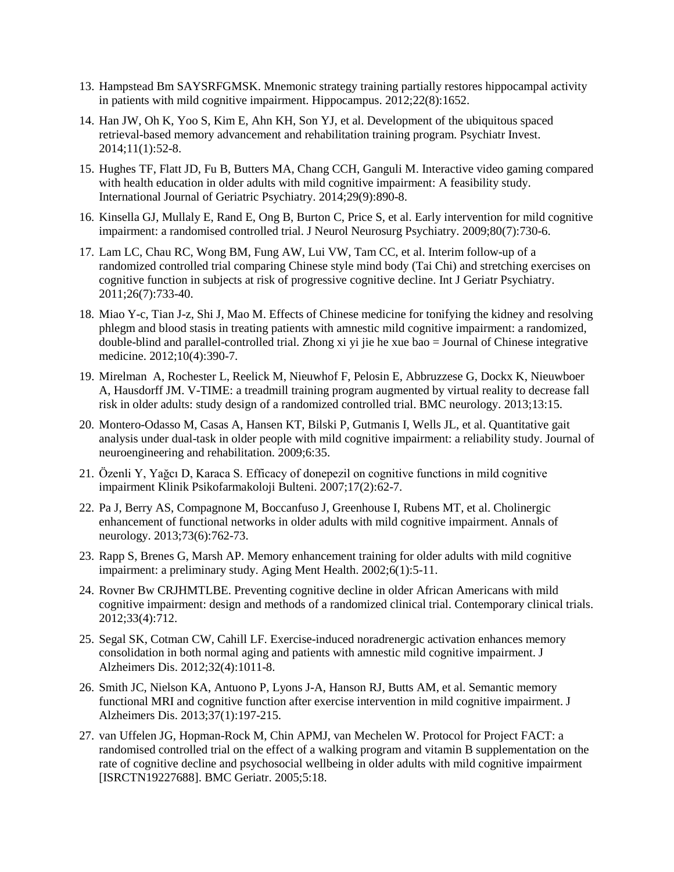- 13. Hampstead Bm SAYSRFGMSK. Mnemonic strategy training partially restores hippocampal activity in patients with mild cognitive impairment. Hippocampus. 2012;22(8):1652.
- 14. Han JW, Oh K, Yoo S, Kim E, Ahn KH, Son YJ, et al. Development of the ubiquitous spaced retrieval-based memory advancement and rehabilitation training program. Psychiatr Invest. 2014;11(1):52-8.
- 15. Hughes TF, Flatt JD, Fu B, Butters MA, Chang CCH, Ganguli M. Interactive video gaming compared with health education in older adults with mild cognitive impairment: A feasibility study. International Journal of Geriatric Psychiatry. 2014;29(9):890-8.
- 16. Kinsella GJ, Mullaly E, Rand E, Ong B, Burton C, Price S, et al. Early intervention for mild cognitive impairment: a randomised controlled trial. J Neurol Neurosurg Psychiatry. 2009;80(7):730-6.
- 17. Lam LC, Chau RC, Wong BM, Fung AW, Lui VW, Tam CC, et al. Interim follow-up of a randomized controlled trial comparing Chinese style mind body (Tai Chi) and stretching exercises on cognitive function in subjects at risk of progressive cognitive decline. Int J Geriatr Psychiatry. 2011;26(7):733-40.
- 18. Miao Y-c, Tian J-z, Shi J, Mao M. Effects of Chinese medicine for tonifying the kidney and resolving phlegm and blood stasis in treating patients with amnestic mild cognitive impairment: a randomized, double-blind and parallel-controlled trial. Zhong xi yi jie he xue bao = Journal of Chinese integrative medicine. 2012;10(4):390-7.
- 19. [Mirelman A,](http://www.ncbi.nlm.nih.gov/pubmed/?term=Mirelman%20A%5BAuthor%5D&cauthor=true&cauthor_uid=23388087) [Rochester L,](http://www.ncbi.nlm.nih.gov/pubmed/?term=Rochester%20L%5BAuthor%5D&cauthor=true&cauthor_uid=23388087) [Reelick M,](http://www.ncbi.nlm.nih.gov/pubmed/?term=Reelick%20M%5BAuthor%5D&cauthor=true&cauthor_uid=23388087) [Nieuwhof F,](http://www.ncbi.nlm.nih.gov/pubmed/?term=Nieuwhof%20F%5BAuthor%5D&cauthor=true&cauthor_uid=23388087) [Pelosin E,](http://www.ncbi.nlm.nih.gov/pubmed/?term=Pelosin%20E%5BAuthor%5D&cauthor=true&cauthor_uid=23388087) [Abbruzzese G,](http://www.ncbi.nlm.nih.gov/pubmed/?term=Abbruzzese%20G%5BAuthor%5D&cauthor=true&cauthor_uid=23388087) [Dockx K,](http://www.ncbi.nlm.nih.gov/pubmed/?term=Dockx%20K%5BAuthor%5D&cauthor=true&cauthor_uid=23388087) [Nieuwboer](http://www.ncbi.nlm.nih.gov/pubmed/?term=Nieuwboer%20A%5BAuthor%5D&cauthor=true&cauthor_uid=23388087)  [A,](http://www.ncbi.nlm.nih.gov/pubmed/?term=Nieuwboer%20A%5BAuthor%5D&cauthor=true&cauthor_uid=23388087) [Hausdorff JM.](http://www.ncbi.nlm.nih.gov/pubmed/?term=Hausdorff%20JM%5BAuthor%5D&cauthor=true&cauthor_uid=23388087) V-TIME: a treadmill training program augmented by virtual reality to decrease fall risk in older adults: study design of a randomized controlled trial. BMC neurology. 2013;13:15.
- 20. Montero-Odasso M, Casas A, Hansen KT, Bilski P, Gutmanis I, Wells JL, et al. Quantitative gait analysis under dual-task in older people with mild cognitive impairment: a reliability study. Journal of neuroengineering and rehabilitation. 2009;6:35.
- 21. Özenli Y, Yağcı D, Karaca S. Efficacy of donepezil on cognitive functions in mild cognitive impairment Klinik Psikofarmakoloji Bulteni. 2007;17(2):62-7.
- 22. Pa J, Berry AS, Compagnone M, Boccanfuso J, Greenhouse I, Rubens MT, et al. Cholinergic enhancement of functional networks in older adults with mild cognitive impairment. Annals of neurology. 2013;73(6):762-73.
- 23. Rapp S, Brenes G, Marsh AP. Memory enhancement training for older adults with mild cognitive impairment: a preliminary study. Aging Ment Health. 2002;6(1):5-11.
- 24. Rovner Bw CRJHMTLBE. Preventing cognitive decline in older African Americans with mild cognitive impairment: design and methods of a randomized clinical trial. Contemporary clinical trials. 2012;33(4):712.
- 25. Segal SK, Cotman CW, Cahill LF. Exercise-induced noradrenergic activation enhances memory consolidation in both normal aging and patients with amnestic mild cognitive impairment. J Alzheimers Dis. 2012;32(4):1011-8.
- 26. Smith JC, Nielson KA, Antuono P, Lyons J-A, Hanson RJ, Butts AM, et al. Semantic memory functional MRI and cognitive function after exercise intervention in mild cognitive impairment. J Alzheimers Dis. 2013;37(1):197-215.
- 27. van Uffelen JG, Hopman-Rock M, Chin APMJ, van Mechelen W. Protocol for Project FACT: a randomised controlled trial on the effect of a walking program and vitamin B supplementation on the rate of cognitive decline and psychosocial wellbeing in older adults with mild cognitive impairment [ISRCTN19227688]. BMC Geriatr. 2005;5:18.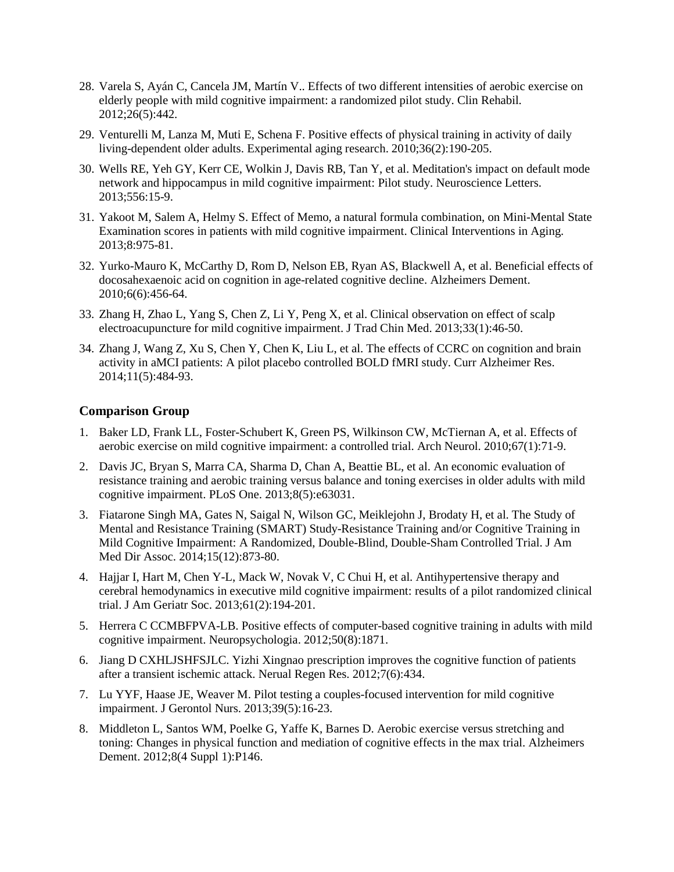- 28. [Varela S,](http://www.ncbi.nlm.nih.gov/pubmed/?term=Varela%20S%5BAuthor%5D&cauthor=true&cauthor_uid=22116953) [Ayán C,](http://www.ncbi.nlm.nih.gov/pubmed/?term=Ay%C3%A1n%20C%5BAuthor%5D&cauthor=true&cauthor_uid=22116953) [Cancela JM,](http://www.ncbi.nlm.nih.gov/pubmed/?term=Cancela%20JM%5BAuthor%5D&cauthor=true&cauthor_uid=22116953) [Martín V.](http://www.ncbi.nlm.nih.gov/pubmed/?term=Mart%C3%ADn%20V%5BAuthor%5D&cauthor=true&cauthor_uid=22116953). Effects of two different intensities of aerobic exercise on elderly people with mild cognitive impairment: a randomized pilot study. Clin Rehabil. 2012;26(5):442.
- 29. Venturelli M, Lanza M, Muti E, Schena F. Positive effects of physical training in activity of daily living-dependent older adults. Experimental aging research. 2010;36(2):190-205.
- 30. Wells RE, Yeh GY, Kerr CE, Wolkin J, Davis RB, Tan Y, et al. Meditation's impact on default mode network and hippocampus in mild cognitive impairment: Pilot study. Neuroscience Letters. 2013;556:15-9.
- 31. Yakoot M, Salem A, Helmy S. Effect of Memo, a natural formula combination, on Mini-Mental State Examination scores in patients with mild cognitive impairment. Clinical Interventions in Aging. 2013;8:975-81.
- 32. Yurko-Mauro K, McCarthy D, Rom D, Nelson EB, Ryan AS, Blackwell A, et al. Beneficial effects of docosahexaenoic acid on cognition in age-related cognitive decline. Alzheimers Dement. 2010;6(6):456-64.
- 33. Zhang H, Zhao L, Yang S, Chen Z, Li Y, Peng X, et al. Clinical observation on effect of scalp electroacupuncture for mild cognitive impairment. J Trad Chin Med. 2013;33(1):46-50.
- 34. Zhang J, Wang Z, Xu S, Chen Y, Chen K, Liu L, et al. The effects of CCRC on cognition and brain activity in aMCI patients: A pilot placebo controlled BOLD fMRI study. Curr Alzheimer Res. 2014;11(5):484-93.

### **Comparison Group**

- 1. Baker LD, Frank LL, Foster-Schubert K, Green PS, Wilkinson CW, McTiernan A, et al. Effects of aerobic exercise on mild cognitive impairment: a controlled trial. Arch Neurol. 2010;67(1):71-9.
- 2. Davis JC, Bryan S, Marra CA, Sharma D, Chan A, Beattie BL, et al. An economic evaluation of resistance training and aerobic training versus balance and toning exercises in older adults with mild cognitive impairment. PLoS One. 2013;8(5):e63031.
- 3. Fiatarone Singh MA, Gates N, Saigal N, Wilson GC, Meiklejohn J, Brodaty H, et al. The Study of Mental and Resistance Training (SMART) Study-Resistance Training and/or Cognitive Training in Mild Cognitive Impairment: A Randomized, Double-Blind, Double-Sham Controlled Trial. J Am Med Dir Assoc. 2014;15(12):873-80.
- 4. Hajjar I, Hart M, Chen Y-L, Mack W, Novak V, C Chui H, et al. Antihypertensive therapy and cerebral hemodynamics in executive mild cognitive impairment: results of a pilot randomized clinical trial. [J Am Geriatr Soc.](http://www.ncbi.nlm.nih.gov/pubmed/23350899) 2013;61(2):194-201.
- 5. Herrera C CCMBFPVA-LB. Positive effects of computer-based cognitive training in adults with mild cognitive impairment. Neuropsychologia. 2012;50(8):1871.
- 6. Jiang D CXHLJSHFSJLC. Yizhi Xingnao prescription improves the cognitive function of patients after a transient ischemic attack. Nerual Regen Res. 2012;7(6):434.
- 7. Lu YYF, Haase JE, Weaver M. Pilot testing a couples-focused intervention for mild cognitive impairment. J Gerontol Nurs. 2013;39(5):16-23.
- 8. Middleton L, Santos WM, Poelke G, Yaffe K, Barnes D. Aerobic exercise versus stretching and toning: Changes in physical function and mediation of cognitive effects in the max trial. Alzheimers Dement. 2012;8(4 Suppl 1):P146.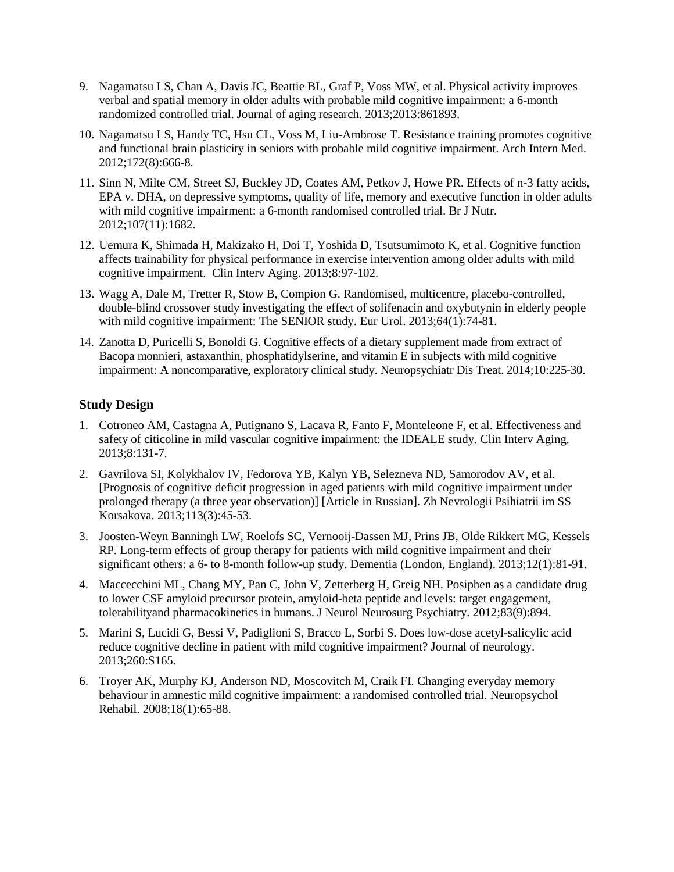- 9. Nagamatsu LS, Chan A, Davis JC, Beattie BL, Graf P, Voss MW, et al. Physical activity improves verbal and spatial memory in older adults with probable mild cognitive impairment: a 6-month randomized controlled trial. Journal of aging research. 2013;2013:861893.
- 10. Nagamatsu LS, Handy TC, Hsu CL, Voss M, Liu-Ambrose T. Resistance training promotes cognitive and functional brain plasticity in seniors with probable mild cognitive impairment. Arch Intern Med. 2012;172(8):666-8.
- 11. [Sinn N,](http://www.ncbi.nlm.nih.gov/pubmed/?term=Sinn%20N%5BAuthor%5D&cauthor=true&cauthor_uid=21929835) [Milte CM,](http://www.ncbi.nlm.nih.gov/pubmed/?term=Milte%20CM%5BAuthor%5D&cauthor=true&cauthor_uid=21929835) [Street SJ,](http://www.ncbi.nlm.nih.gov/pubmed/?term=Street%20SJ%5BAuthor%5D&cauthor=true&cauthor_uid=21929835) [Buckley JD,](http://www.ncbi.nlm.nih.gov/pubmed/?term=Buckley%20JD%5BAuthor%5D&cauthor=true&cauthor_uid=21929835) [Coates AM,](http://www.ncbi.nlm.nih.gov/pubmed/?term=Coates%20AM%5BAuthor%5D&cauthor=true&cauthor_uid=21929835) [Petkov J,](http://www.ncbi.nlm.nih.gov/pubmed/?term=Petkov%20J%5BAuthor%5D&cauthor=true&cauthor_uid=21929835) [Howe PR.](http://www.ncbi.nlm.nih.gov/pubmed/?term=Howe%20PR%5BAuthor%5D&cauthor=true&cauthor_uid=21929835) Effects of n-3 fatty acids, EPA v. DHA, on depressive symptoms, quality of life, memory and executive function in older adults with mild cognitive impairment: a 6-month randomised controlled trial. Br J Nutr. 2012;107(11):1682.
- 12. Uemura K, Shimada H, Makizako H, Doi T, Yoshida D, Tsutsumimoto K, et al. Cognitive function affects trainability for physical performance in exercise intervention among older adults with mild cognitive impairment. Clin Interv Aging. 2013;8:97-102.
- 13. Wagg A, Dale M, Tretter R, Stow B, Compion G. Randomised, multicentre, placebo-controlled, double-blind crossover study investigating the effect of solifenacin and oxybutynin in elderly people with mild cognitive impairment: The SENIOR study. Eur Urol. 2013;64(1):74-81.
- 14. Zanotta D, Puricelli S, Bonoldi G. Cognitive effects of a dietary supplement made from extract of Bacopa monnieri, astaxanthin, phosphatidylserine, and vitamin E in subjects with mild cognitive impairment: A noncomparative, exploratory clinical study[. Neuropsychiatr Dis Treat.](http://www.ncbi.nlm.nih.gov/pubmed/24523587) 2014;10:225-30.

## **Study Design**

- 1. Cotroneo AM, Castagna A, Putignano S, Lacava R, Fanto F, Monteleone F, et al. Effectiveness and safety of citicoline in mild vascular cognitive impairment: the IDEALE study. Clin Interv Aging. 2013;8:131-7.
- 2. Gavrilova SI, Kolykhalov IV, Fedorova YB, Kalyn YB, Selezneva ND, Samorodov AV, et al. [Prognosis of cognitive deficit progression in aged patients with mild cognitive impairment under prolonged therapy (a three year observation)] [Article in Russian]. Zh Nevrologii Psihiatrii im SS Korsakova. 2013;113(3):45-53.
- 3. Joosten-Weyn Banningh LW, Roelofs SC, Vernooij-Dassen MJ, Prins JB, Olde Rikkert MG, Kessels RP. Long-term effects of group therapy for patients with mild cognitive impairment and their significant others: a 6- to 8-month follow-up study. Dementia (London, England). 2013;12(1):81-91.
- 4. [Maccecchini ML,](http://www.ncbi.nlm.nih.gov/pubmed/?term=Maccecchini%20ML%5BAuthor%5D&cauthor=true&cauthor_uid=22791904) [Chang MY,](http://www.ncbi.nlm.nih.gov/pubmed/?term=Chang%20MY%5BAuthor%5D&cauthor=true&cauthor_uid=22791904) [Pan C,](http://www.ncbi.nlm.nih.gov/pubmed/?term=Pan%20C%5BAuthor%5D&cauthor=true&cauthor_uid=22791904) [John V,](http://www.ncbi.nlm.nih.gov/pubmed/?term=John%20V%5BAuthor%5D&cauthor=true&cauthor_uid=22791904) [Zetterberg H,](http://www.ncbi.nlm.nih.gov/pubmed/?term=Zetterberg%20H%5BAuthor%5D&cauthor=true&cauthor_uid=22791904) [Greig NH.](http://www.ncbi.nlm.nih.gov/pubmed/?term=Greig%20NH%5BAuthor%5D&cauthor=true&cauthor_uid=22791904) Posiphen as a candidate drug to lower CSF amyloid precursor protein, amyloid-beta peptide and levels: target engagement, tolerabilityand pharmacokinetics in humans. [J Neurol Neurosurg Psychiatry.](http://www.ncbi.nlm.nih.gov/pubmed/22791904) 2012;83(9):894.
- 5. Marini S, Lucidi G, Bessi V, Padiglioni S, Bracco L, Sorbi S. Does low-dose acetyl-salicylic acid reduce cognitive decline in patient with mild cognitive impairment? Journal of neurology. 2013;260:S165.
- 6. Troyer AK, Murphy KJ, Anderson ND, Moscovitch M, Craik FI. Changing everyday memory behaviour in amnestic mild cognitive impairment: a randomised controlled trial. Neuropsychol Rehabil. 2008;18(1):65-88.